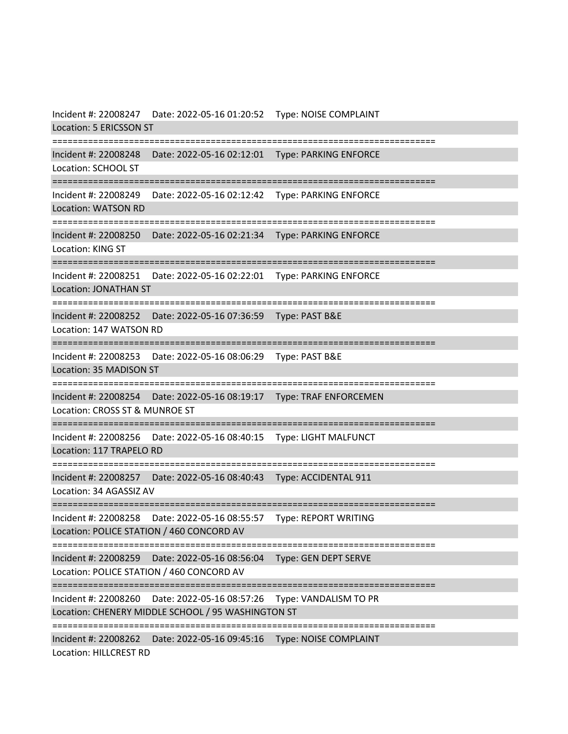Incident #: 22008247 Date: 2022-05-16 01:20:52 Type: NOISE COMPLAINT Location: 5 ERICSSON ST =========================================================================== Incident #: 22008248 Date: 2022-05-16 02:12:01 Type: PARKING ENFORCE Location: SCHOOL ST =========================================================================== Incident #: 22008249 Date: 2022-05-16 02:12:42 Type: PARKING ENFORCE Location: WATSON RD =========================================================================== Incident #: 22008250 Date: 2022-05-16 02:21:34 Type: PARKING ENFORCE Location: KING ST =========================================================================== Incident #: 22008251 Date: 2022-05-16 02:22:01 Type: PARKING ENFORCE Location: JONATHAN ST =========================================================================== Incident #: 22008252 Date: 2022-05-16 07:36:59 Type: PAST B&E Location: 147 WATSON RD =========================================================================== Incident #: 22008253 Date: 2022-05-16 08:06:29 Type: PAST B&E Location: 35 MADISON ST =========================================================================== Incident #: 22008254 Date: 2022-05-16 08:19:17 Type: TRAF ENFORCEMEN Location: CROSS ST & MUNROE ST =========================================================================== Incident #: 22008256 Date: 2022-05-16 08:40:15 Type: LIGHT MALFUNCT Location: 117 TRAPELO RD =========================================================================== Incident #: 22008257 Date: 2022-05-16 08:40:43 Type: ACCIDENTAL 911 Location: 34 AGASSIZ AV =========================================================================== Incident #: 22008258 Date: 2022-05-16 08:55:57 Type: REPORT WRITING Location: POLICE STATION / 460 CONCORD AV =========================================================================== Incident #: 22008259 Date: 2022-05-16 08:56:04 Type: GEN DEPT SERVE Location: POLICE STATION / 460 CONCORD AV =========================================================================== Incident #: 22008260 Date: 2022-05-16 08:57:26 Type: VANDALISM TO PR Location: CHENERY MIDDLE SCHOOL / 95 WASHINGTON ST =========================================================================== Incident #: 22008262 Date: 2022-05-16 09:45:16 Type: NOISE COMPLAINT Location: HILLCREST RD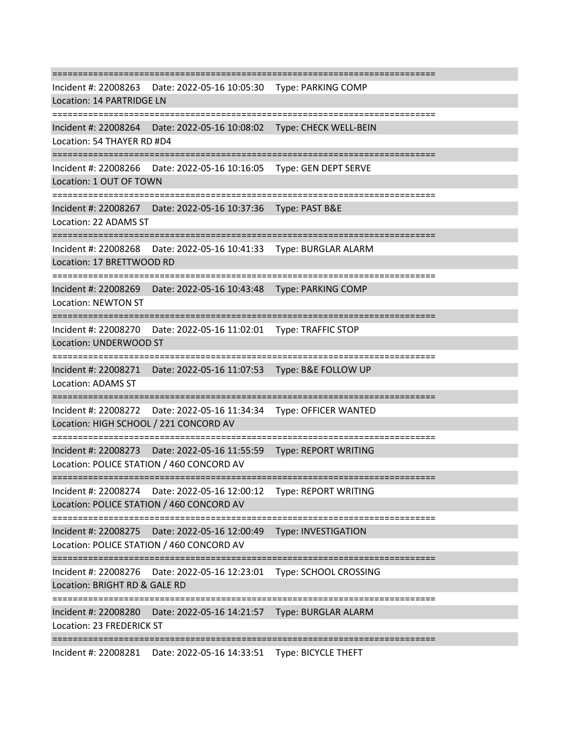=========================================================================== Incident #: 22008263 Date: 2022-05-16 10:05:30 Type: PARKING COMP Location: 14 PARTRIDGE LN =========================================================================== Incident #: 22008264 Date: 2022-05-16 10:08:02 Type: CHECK WELL-BEIN Location: 54 THAYER RD #D4 =========================================================================== Incident #: 22008266 Date: 2022-05-16 10:16:05 Type: GEN DEPT SERVE Location: 1 OUT OF TOWN =========================================================================== Incident #: 22008267 Date: 2022-05-16 10:37:36 Type: PAST B&E Location: 22 ADAMS ST =========================================================================== Incident #: 22008268 Date: 2022-05-16 10:41:33 Type: BURGLAR ALARM Location: 17 BRETTWOOD RD =========================================================================== Incident #: 22008269 Date: 2022-05-16 10:43:48 Type: PARKING COMP Location: NEWTON ST =========================================================================== Incident #: 22008270 Date: 2022-05-16 11:02:01 Type: TRAFFIC STOP Location: UNDERWOOD ST =========================================================================== Incident #: 22008271 Date: 2022-05-16 11:07:53 Type: B&E FOLLOW UP Location: ADAMS ST =========================================================================== Incident #: 22008272 Date: 2022-05-16 11:34:34 Type: OFFICER WANTED Location: HIGH SCHOOL / 221 CONCORD AV ================== Incident #: 22008273 Date: 2022-05-16 11:55:59 Type: REPORT WRITING Location: POLICE STATION / 460 CONCORD AV =========================================================================== Incident #: 22008274 Date: 2022-05-16 12:00:12 Type: REPORT WRITING Location: POLICE STATION / 460 CONCORD AV =========================================================================== Incident #: 22008275 Date: 2022-05-16 12:00:49 Type: INVESTIGATION Location: POLICE STATION / 460 CONCORD AV =========================================================================== Incident #: 22008276 Date: 2022-05-16 12:23:01 Type: SCHOOL CROSSING Location: BRIGHT RD & GALE RD =========================================================================== Incident #: 22008280 Date: 2022-05-16 14:21:57 Type: BURGLAR ALARM Location: 23 FREDERICK ST ===========================================================================

Incident #: 22008281 Date: 2022-05-16 14:33:51 Type: BICYCLE THEFT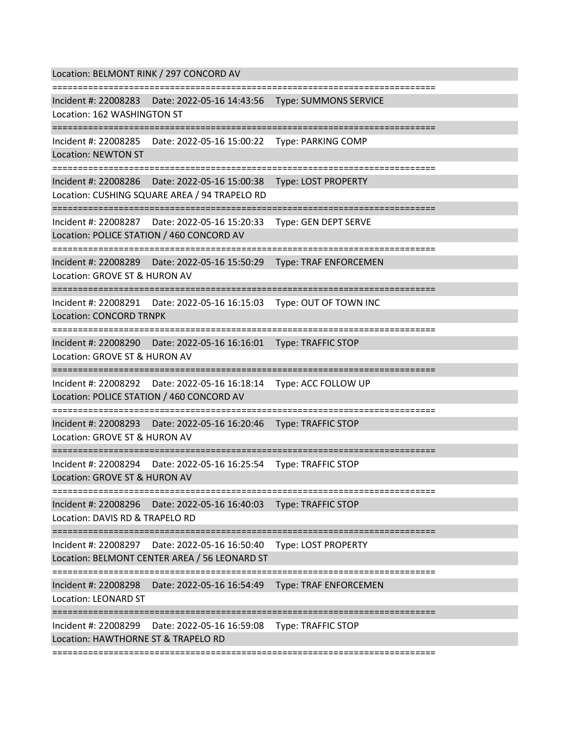Location: BELMONT RINK / 297 CONCORD AV

=========================================================================== Incident #: 22008283 Date: 2022-05-16 14:43:56 Type: SUMMONS SERVICE

Location: 162 WASHINGTON ST

===========================================================================

Incident #: 22008285 Date: 2022-05-16 15:00:22 Type: PARKING COMP

Location: NEWTON ST

===========================================================================

Incident #: 22008286 Date: 2022-05-16 15:00:38 Type: LOST PROPERTY

Location: CUSHING SQUARE AREA / 94 TRAPELO RD

===========================================================================

Incident #: 22008287 Date: 2022-05-16 15:20:33 Type: GEN DEPT SERVE Location: POLICE STATION / 460 CONCORD AV

===========================================================================

Incident #: 22008289 Date: 2022-05-16 15:50:29 Type: TRAF ENFORCEMEN

Location: GROVE ST & HURON AV

===========================================================================

Incident #: 22008291 Date: 2022-05-16 16:15:03 Type: OUT OF TOWN INC

Location: CONCORD TRNPK

===========================================================================

Incident #: 22008290 Date: 2022-05-16 16:16:01 Type: TRAFFIC STOP

Location: GROVE ST & HURON AV

===========================================================================

Incident #: 22008292 Date: 2022-05-16 16:18:14 Type: ACC FOLLOW UP

Location: POLICE STATION / 460 CONCORD AV

===========================================================================

Incident #: 22008293 Date: 2022-05-16 16:20:46 Type: TRAFFIC STOP

Location: GROVE ST & HURON AV

===========================================================================

Incident #: 22008294 Date: 2022-05-16 16:25:54 Type: TRAFFIC STOP

Location: GROVE ST & HURON AV

================================

Incident #: 22008296 Date: 2022-05-16 16:40:03 Type: TRAFFIC STOP

Location: DAVIS RD & TRAPELO RD

===========================================================================

Incident #: 22008297 Date: 2022-05-16 16:50:40 Type: LOST PROPERTY

Location: BELMONT CENTER AREA / 56 LEONARD ST

===========================================================================

Incident #: 22008298 Date: 2022-05-16 16:54:49 Type: TRAF ENFORCEMEN

Location: LEONARD ST

===========================================================================

Incident #: 22008299 Date: 2022-05-16 16:59:08 Type: TRAFFIC STOP

Location: HAWTHORNE ST & TRAPELO RD

===========================================================================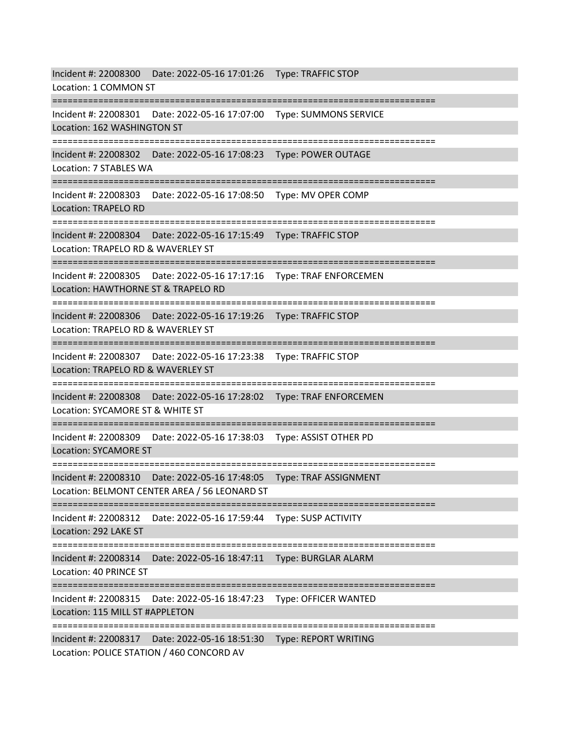|                                                                                                              | Incident #: 22008300 Date: 2022-05-16 17:01:26 Type: TRAFFIC STOP             |                               |
|--------------------------------------------------------------------------------------------------------------|-------------------------------------------------------------------------------|-------------------------------|
| Location: 1 COMMON ST                                                                                        |                                                                               |                               |
|                                                                                                              | Incident #: 22008301   Date: 2022-05-16 17:07:00   Type: SUMMONS SERVICE      |                               |
| Location: 162 WASHINGTON ST                                                                                  |                                                                               |                               |
|                                                                                                              | Incident #: 22008302    Date: 2022-05-16 17:08:23    Type: POWER OUTAGE       | ======================        |
| Location: 7 STABLES WA                                                                                       |                                                                               |                               |
|                                                                                                              |                                                                               | ---------------------         |
|                                                                                                              | Incident #: 22008303    Date: 2022-05-16 17:08:50    Type: MV    OPER COMP    |                               |
| Location: TRAPELO RD                                                                                         |                                                                               |                               |
|                                                                                                              | Incident #: 22008304 Date: 2022-05-16 17:15:49    Type: TRAFFIC STOP          |                               |
| Location: TRAPELO RD & WAVERLEY ST                                                                           |                                                                               |                               |
|                                                                                                              | Incident #: 22008305    Date: 2022-05-16    17:17:16    Type: TRAF ENFORCEMEN | ============================= |
| Location: HAWTHORNE ST & TRAPELO RD                                                                          |                                                                               |                               |
|                                                                                                              |                                                                               | ---------------------         |
|                                                                                                              | Incident #: 22008306    Date: 2022-05-16 17:19:26    Type: TRAFFIC STOP       |                               |
| Location: TRAPELO RD & WAVERLEY ST                                                                           |                                                                               |                               |
|                                                                                                              | Incident #: 22008307    Date: 2022-05-16 17:23:38    Type: TRAFFIC STOP       |                               |
| Location: TRAPELO RD & WAVERLEY ST                                                                           |                                                                               |                               |
|                                                                                                              |                                                                               |                               |
| Location: SYCAMORE ST & WHITE ST                                                                             | Incident #: 22008308    Date: 2022-05-16 17:28:02    Type: TRAF ENFORCEMEN    |                               |
| ---------------------                                                                                        |                                                                               |                               |
|                                                                                                              | Incident #: 22008309    Date: 2022-05-16 17:38:03    Type: ASSIST OTHER PD    |                               |
| <b>Location: SYCAMORE ST</b>                                                                                 |                                                                               |                               |
|                                                                                                              | Incident #: 22008310    Date: 2022-05-16 17:48:05    Type: TRAF ASSIGNMENT    |                               |
|                                                                                                              | Location: BELMONT CENTER AREA / 56 LEONARD ST                                 |                               |
|                                                                                                              |                                                                               |                               |
| Location: 292 LAKE ST                                                                                        | Incident #: 22008312    Date: 2022-05-16 17:59:44    Type: SUSP    ACTIVITY   |                               |
|                                                                                                              | =========================                                                     | ----------------------        |
| Incident #: 22008314                                                                                         | Date: 2022-05-16 18:47:11    Type: BURGLAR ALARM                              |                               |
| Location: 40 PRINCE ST                                                                                       |                                                                               |                               |
| ----------------------------------                                                                           |                                                                               | ---------------------         |
| Incident #: 22008315    Date: 2022-05-16 18:47:23    Type: OFFICER WANTED<br>Location: 115 MILL ST #APPLETON |                                                                               |                               |
|                                                                                                              |                                                                               |                               |
| Location: POLICE STATION / 460 CONCORD AV                                                                    | Incident #: 22008317    Date: 2022-05-16    18:51:30    Type: REPORT WRITING  |                               |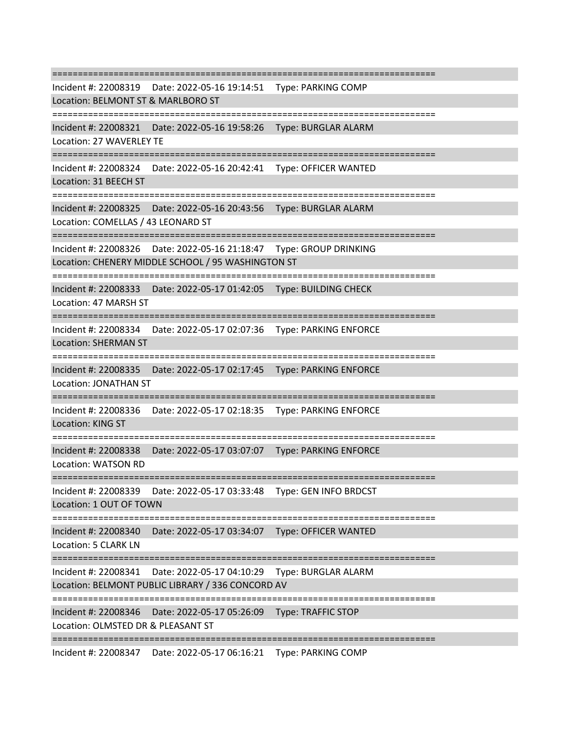=========================================================================== Incident #: 22008319 Date: 2022-05-16 19:14:51 Type: PARKING COMP Location: BELMONT ST & MARLBORO ST =========================================================================== Incident #: 22008321 Date: 2022-05-16 19:58:26 Type: BURGLAR ALARM Location: 27 WAVERLEY TE =========================================================================== Incident #: 22008324 Date: 2022-05-16 20:42:41 Type: OFFICER WANTED Location: 31 BEECH ST =========================================================================== Incident #: 22008325 Date: 2022-05-16 20:43:56 Type: BURGLAR ALARM Location: COMELLAS / 43 LEONARD ST =========================================================================== Incident #: 22008326 Date: 2022-05-16 21:18:47 Type: GROUP DRINKING Location: CHENERY MIDDLE SCHOOL / 95 WASHINGTON ST =========================================================================== Incident #: 22008333 Date: 2022-05-17 01:42:05 Type: BUILDING CHECK Location: 47 MARSH ST =========================================================================== Incident #: 22008334 Date: 2022-05-17 02:07:36 Type: PARKING ENFORCE Location: SHERMAN ST =========================================================================== Incident #: 22008335 Date: 2022-05-17 02:17:45 Type: PARKING ENFORCE Location: JONATHAN ST =========================================================================== Incident #: 22008336 Date: 2022-05-17 02:18:35 Type: PARKING ENFORCE Location: KING ST =========================================================================== Incident #: 22008338 Date: 2022-05-17 03:07:07 Type: PARKING ENFORCE Location: WATSON RD =========================================================================== Incident #: 22008339 Date: 2022-05-17 03:33:48 Type: GEN INFO BRDCST Location: 1 OUT OF TOWN =========================================================================== Incident #: 22008340 Date: 2022-05-17 03:34:07 Type: OFFICER WANTED Location: 5 CLARK LN =========================================================================== Incident #: 22008341 Date: 2022-05-17 04:10:29 Type: BURGLAR ALARM Location: BELMONT PUBLIC LIBRARY / 336 CONCORD AV =========================================================================== Incident #: 22008346 Date: 2022-05-17 05:26:09 Type: TRAFFIC STOP Location: OLMSTED DR & PLEASANT ST =========================================================================== Incident #: 22008347 Date: 2022-05-17 06:16:21 Type: PARKING COMP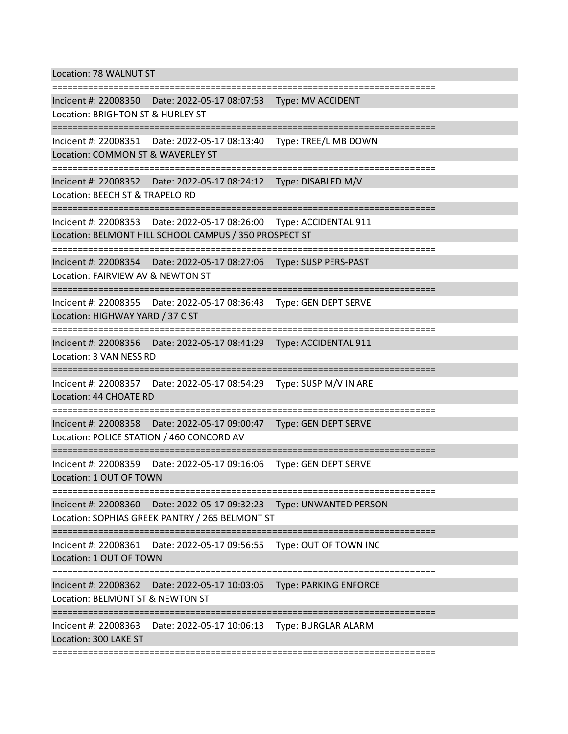Location: 78 WALNUT ST

=========================================================================== Incident #: 22008350 Date: 2022-05-17 08:07:53 Type: MV ACCIDENT Location: BRIGHTON ST & HURLEY ST =========================================================================== Incident #: 22008351 Date: 2022-05-17 08:13:40 Type: TREE/LIMB DOWN Location: COMMON ST & WAVERLEY ST =========================================================================== Incident #: 22008352 Date: 2022-05-17 08:24:12 Type: DISABLED M/V Location: BEECH ST & TRAPELO RD =========================================================================== Incident #: 22008353 Date: 2022-05-17 08:26:00 Type: ACCIDENTAL 911 Location: BELMONT HILL SCHOOL CAMPUS / 350 PROSPECT ST =========================================================================== Incident #: 22008354 Date: 2022-05-17 08:27:06 Type: SUSP PERS-PAST Location: FAIRVIEW AV & NEWTON ST =========================================================================== Incident #: 22008355 Date: 2022-05-17 08:36:43 Type: GEN DEPT SERVE Location: HIGHWAY YARD / 37 C ST =========================================================================== Incident #: 22008356 Date: 2022-05-17 08:41:29 Type: ACCIDENTAL 911 Location: 3 VAN NESS RD =========================================================================== Incident #: 22008357 Date: 2022-05-17 08:54:29 Type: SUSP M/V IN ARE Location: 44 CHOATE RD =========================================================================== Incident #: 22008358 Date: 2022-05-17 09:00:47 Type: GEN DEPT SERVE Location: POLICE STATION / 460 CONCORD AV =========================================================================== Incident #: 22008359 Date: 2022-05-17 09:16:06 Type: GEN DEPT SERVE Location: 1 OUT OF TOWN =========================================================================== Incident #: 22008360 Date: 2022-05-17 09:32:23 Type: UNWANTED PERSON Location: SOPHIAS GREEK PANTRY / 265 BELMONT ST =========================================================================== Incident #: 22008361 Date: 2022-05-17 09:56:55 Type: OUT OF TOWN INC Location: 1 OUT OF TOWN =========================================================================== Incident #: 22008362 Date: 2022-05-17 10:03:05 Type: PARKING ENFORCE Location: BELMONT ST & NEWTON ST =========================================================================== Incident #: 22008363 Date: 2022-05-17 10:06:13 Type: BURGLAR ALARM Location: 300 LAKE ST ===========================================================================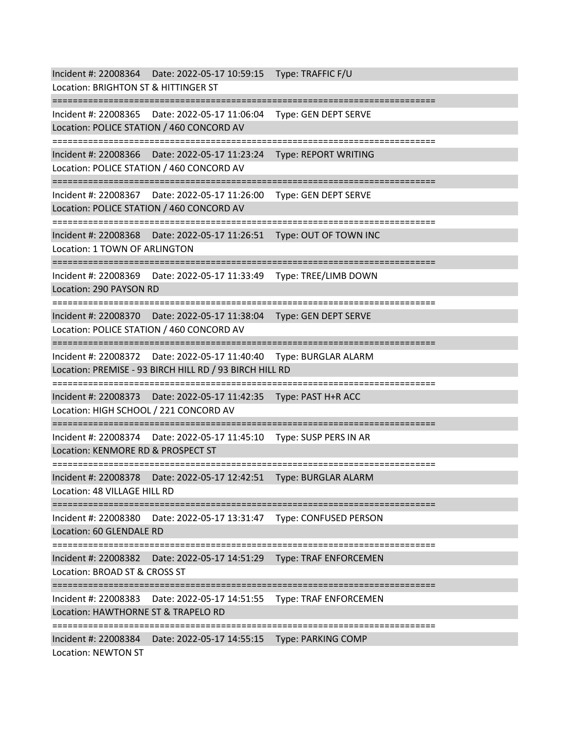Incident #: 22008364 Date: 2022-05-17 10:59:15 Type: TRAFFIC F/U Location: BRIGHTON ST & HITTINGER ST =========================================================================== Incident #: 22008365 Date: 2022-05-17 11:06:04 Type: GEN DEPT SERVE Location: POLICE STATION / 460 CONCORD AV =========================================================================== Incident #: 22008366 Date: 2022-05-17 11:23:24 Type: REPORT WRITING Location: POLICE STATION / 460 CONCORD AV =========================================================================== Incident #: 22008367 Date: 2022-05-17 11:26:00 Type: GEN DEPT SERVE Location: POLICE STATION / 460 CONCORD AV =========================================================================== Incident #: 22008368 Date: 2022-05-17 11:26:51 Type: OUT OF TOWN INC Location: 1 TOWN OF ARLINGTON =========================================================================== Incident #: 22008369 Date: 2022-05-17 11:33:49 Type: TREE/LIMB DOWN Location: 290 PAYSON RD =========================================================================== Incident #: 22008370 Date: 2022-05-17 11:38:04 Type: GEN DEPT SERVE Location: POLICE STATION / 460 CONCORD AV =========================================================================== Incident #: 22008372 Date: 2022-05-17 11:40:40 Type: BURGLAR ALARM Location: PREMISE - 93 BIRCH HILL RD / 93 BIRCH HILL RD =========================================================================== Incident #: 22008373 Date: 2022-05-17 11:42:35 Type: PAST H+R ACC Location: HIGH SCHOOL / 221 CONCORD AV =========================================================================== Incident #: 22008374 Date: 2022-05-17 11:45:10 Type: SUSP PERS IN AR Location: KENMORE RD & PROSPECT ST =========================================================================== Incident #: 22008378 Date: 2022-05-17 12:42:51 Type: BURGLAR ALARM Location: 48 VILLAGE HILL RD =========================================================================== Incident #: 22008380 Date: 2022-05-17 13:31:47 Type: CONFUSED PERSON Location: 60 GLENDALE RD =========================================================================== Incident #: 22008382 Date: 2022-05-17 14:51:29 Type: TRAF ENFORCEMEN Location: BROAD ST & CROSS ST =========================================================================== Incident #: 22008383 Date: 2022-05-17 14:51:55 Type: TRAF ENFORCEMEN Location: HAWTHORNE ST & TRAPELO RD =========================================================================== Incident #: 22008384 Date: 2022-05-17 14:55:15 Type: PARKING COMP Location: NEWTON ST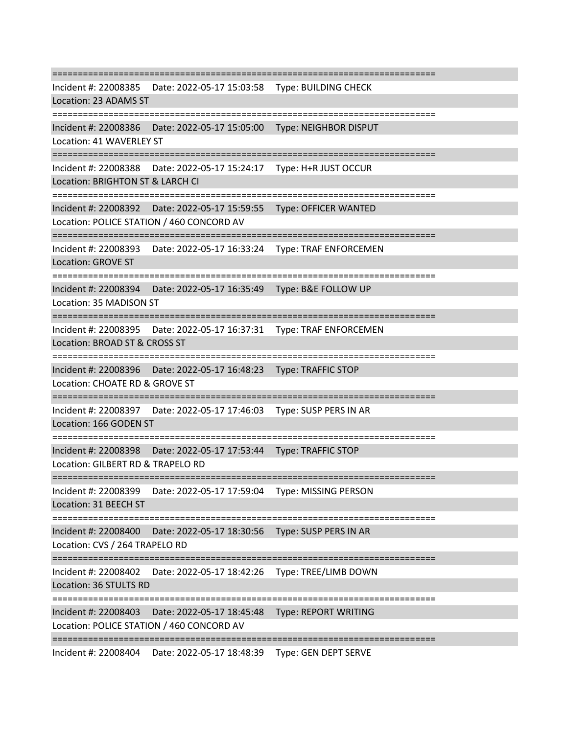=========================================================================== Incident #: 22008385 Date: 2022-05-17 15:03:58 Type: BUILDING CHECK Location: 23 ADAMS ST =========================================================================== Incident #: 22008386 Date: 2022-05-17 15:05:00 Type: NEIGHBOR DISPUT Location: 41 WAVERLEY ST =========================================================================== Incident #: 22008388 Date: 2022-05-17 15:24:17 Type: H+R JUST OCCUR Location: BRIGHTON ST & LARCH CI =========================================================================== Incident #: 22008392 Date: 2022-05-17 15:59:55 Type: OFFICER WANTED Location: POLICE STATION / 460 CONCORD AV =========================================================================== Incident #: 22008393 Date: 2022-05-17 16:33:24 Type: TRAF ENFORCEMEN Location: GROVE ST ======================== Incident #: 22008394 Date: 2022-05-17 16:35:49 Type: B&E FOLLOW UP Location: 35 MADISON ST =========================================================================== Incident #: 22008395 Date: 2022-05-17 16:37:31 Type: TRAF ENFORCEMEN Location: BROAD ST & CROSS ST =========================================================================== Incident #: 22008396 Date: 2022-05-17 16:48:23 Type: TRAFFIC STOP Location: CHOATE RD & GROVE ST =========================================================================== Incident #: 22008397 Date: 2022-05-17 17:46:03 Type: SUSP PERS IN AR Location: 166 GODEN ST =========================================================================== Incident #: 22008398 Date: 2022-05-17 17:53:44 Type: TRAFFIC STOP Location: GILBERT RD & TRAPELO RD =========================================================================== Incident #: 22008399 Date: 2022-05-17 17:59:04 Type: MISSING PERSON Location: 31 BEECH ST =========================================================================== Incident #: 22008400 Date: 2022-05-17 18:30:56 Type: SUSP PERS IN AR Location: CVS / 264 TRAPELO RD =========================================================================== Incident #: 22008402 Date: 2022-05-17 18:42:26 Type: TREE/LIMB DOWN Location: 36 STULTS RD =========================================================================== Incident #: 22008403 Date: 2022-05-17 18:45:48 Type: REPORT WRITING Location: POLICE STATION / 460 CONCORD AV =========================================================================== Incident #: 22008404 Date: 2022-05-17 18:48:39 Type: GEN DEPT SERVE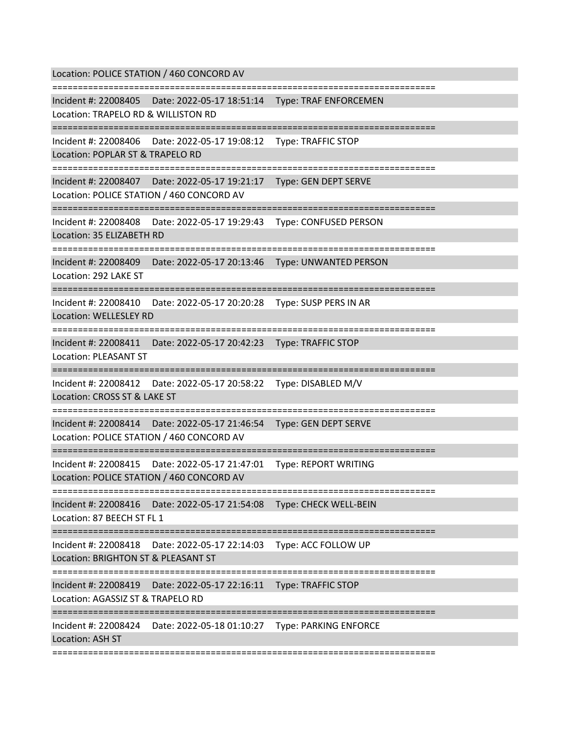Location: POLICE STATION / 460 CONCORD AV =========================================================================== Incident #: 22008405 Date: 2022-05-17 18:51:14 Type: TRAF ENFORCEMEN Location: TRAPELO RD & WILLISTON RD =========================================================================== Incident #: 22008406 Date: 2022-05-17 19:08:12 Type: TRAFFIC STOP Location: POPLAR ST & TRAPELO RD =========================================================================== Incident #: 22008407 Date: 2022-05-17 19:21:17 Type: GEN DEPT SERVE Location: POLICE STATION / 460 CONCORD AV =========================================================================== Incident #: 22008408 Date: 2022-05-17 19:29:43 Type: CONFUSED PERSON Location: 35 ELIZABETH RD =========================================================================== Incident #: 22008409 Date: 2022-05-17 20:13:46 Type: UNWANTED PERSON Location: 292 LAKE ST =========================================================================== Incident #: 22008410 Date: 2022-05-17 20:20:28 Type: SUSP PERS IN AR Location: WELLESLEY RD =========================================================================== Incident #: 22008411 Date: 2022-05-17 20:42:23 Type: TRAFFIC STOP Location: PLEASANT ST =========================================================================== Incident #: 22008412 Date: 2022-05-17 20:58:22 Type: DISABLED M/V Location: CROSS ST & LAKE ST =========================================================================== Incident #: 22008414 Date: 2022-05-17 21:46:54 Type: GEN DEPT SERVE Location: POLICE STATION / 460 CONCORD AV =========================================================================== Incident #: 22008415 Date: 2022-05-17 21:47:01 Type: REPORT WRITING Location: POLICE STATION / 460 CONCORD AV =========================================================================== Incident #: 22008416 Date: 2022-05-17 21:54:08 Type: CHECK WELL-BEIN Location: 87 BEECH ST FL 1 =========================================================================== Incident #: 22008418 Date: 2022-05-17 22:14:03 Type: ACC FOLLOW UP Location: BRIGHTON ST & PLEASANT ST =========================================================================== Incident #: 22008419 Date: 2022-05-17 22:16:11 Type: TRAFFIC STOP Location: AGASSIZ ST & TRAPELO RD =========================================================================== Incident #: 22008424 Date: 2022-05-18 01:10:27 Type: PARKING ENFORCE Location: ASH ST ===========================================================================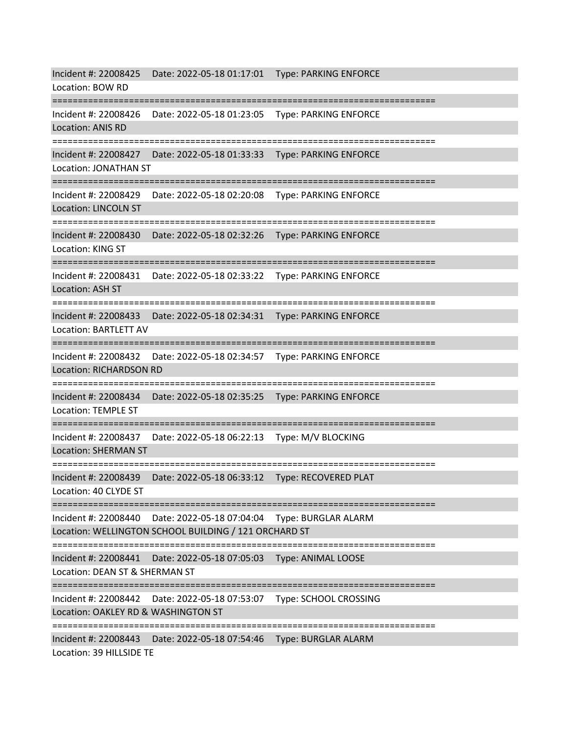Incident #: 22008425 Date: 2022-05-18 01:17:01 Type: PARKING ENFORCE Location: BOW RD =========================================================================== Incident #: 22008426 Date: 2022-05-18 01:23:05 Type: PARKING ENFORCE Location: ANIS RD =========================================================================== Incident #: 22008427 Date: 2022-05-18 01:33:33 Type: PARKING ENFORCE Location: JONATHAN ST =========================================================================== Incident #: 22008429 Date: 2022-05-18 02:20:08 Type: PARKING ENFORCE Location: LINCOLN ST =========================================================================== Incident #: 22008430 Date: 2022-05-18 02:32:26 Type: PARKING ENFORCE Location: KING ST =========================================================================== Incident #: 22008431 Date: 2022-05-18 02:33:22 Type: PARKING ENFORCE Location: ASH ST =========================================================================== Incident #: 22008433 Date: 2022-05-18 02:34:31 Type: PARKING ENFORCE Location: BARTLETT AV =========================================================================== Incident #: 22008432 Date: 2022-05-18 02:34:57 Type: PARKING ENFORCE Location: RICHARDSON RD =========================================================================== Incident #: 22008434 Date: 2022-05-18 02:35:25 Type: PARKING ENFORCE Location: TEMPLE ST =========================================================================== Incident #: 22008437 Date: 2022-05-18 06:22:13 Type: M/V BLOCKING Location: SHERMAN ST =========================================================================== Incident #: 22008439 Date: 2022-05-18 06:33:12 Type: RECOVERED PLAT Location: 40 CLYDE ST =========================================================================== Incident #: 22008440 Date: 2022-05-18 07:04:04 Type: BURGLAR ALARM Location: WELLINGTON SCHOOL BUILDING / 121 ORCHARD ST =========================================================================== Incident #: 22008441 Date: 2022-05-18 07:05:03 Type: ANIMAL LOOSE Location: DEAN ST & SHERMAN ST =========================================================================== Incident #: 22008442 Date: 2022-05-18 07:53:07 Type: SCHOOL CROSSING Location: OAKLEY RD & WASHINGTON ST =========================================================================== Incident #: 22008443 Date: 2022-05-18 07:54:46 Type: BURGLAR ALARM Location: 39 HILLSIDE TE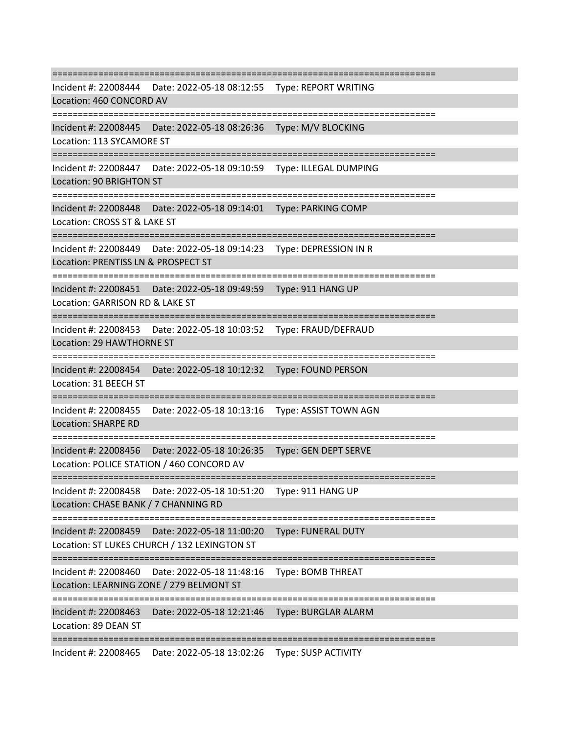=========================================================================== Incident #: 22008444 Date: 2022-05-18 08:12:55 Type: REPORT WRITING Location: 460 CONCORD AV =========================================================================== Incident #: 22008445 Date: 2022-05-18 08:26:36 Type: M/V BLOCKING Location: 113 SYCAMORE ST =========================================================================== Incident #: 22008447 Date: 2022-05-18 09:10:59 Type: ILLEGAL DUMPING Location: 90 BRIGHTON ST =========================================================================== Incident #: 22008448 Date: 2022-05-18 09:14:01 Type: PARKING COMP Location: CROSS ST & LAKE ST =========================================================================== Incident #: 22008449 Date: 2022-05-18 09:14:23 Type: DEPRESSION IN R Location: PRENTISS LN & PROSPECT ST =========================================================================== Incident #: 22008451 Date: 2022-05-18 09:49:59 Type: 911 HANG UP Location: GARRISON RD & LAKE ST =========================================================================== Incident #: 22008453 Date: 2022-05-18 10:03:52 Type: FRAUD/DEFRAUD Location: 29 HAWTHORNE ST =========================================================================== Incident #: 22008454 Date: 2022-05-18 10:12:32 Type: FOUND PERSON Location: 31 BEECH ST =========================================================================== Incident #: 22008455 Date: 2022-05-18 10:13:16 Type: ASSIST TOWN AGN Location: SHARPE RD =========================================================================== Incident #: 22008456 Date: 2022-05-18 10:26:35 Type: GEN DEPT SERVE Location: POLICE STATION / 460 CONCORD AV =========================================================================== Incident #: 22008458 Date: 2022-05-18 10:51:20 Type: 911 HANG UP Location: CHASE BANK / 7 CHANNING RD =========================================================================== Incident #: 22008459 Date: 2022-05-18 11:00:20 Type: FUNERAL DUTY Location: ST LUKES CHURCH / 132 LEXINGTON ST =========================================================================== Incident #: 22008460 Date: 2022-05-18 11:48:16 Type: BOMB THREAT Location: LEARNING ZONE / 279 BELMONT ST =========================================================================== Incident #: 22008463 Date: 2022-05-18 12:21:46 Type: BURGLAR ALARM Location: 89 DEAN ST =========================================================================== Incident #: 22008465 Date: 2022-05-18 13:02:26 Type: SUSP ACTIVITY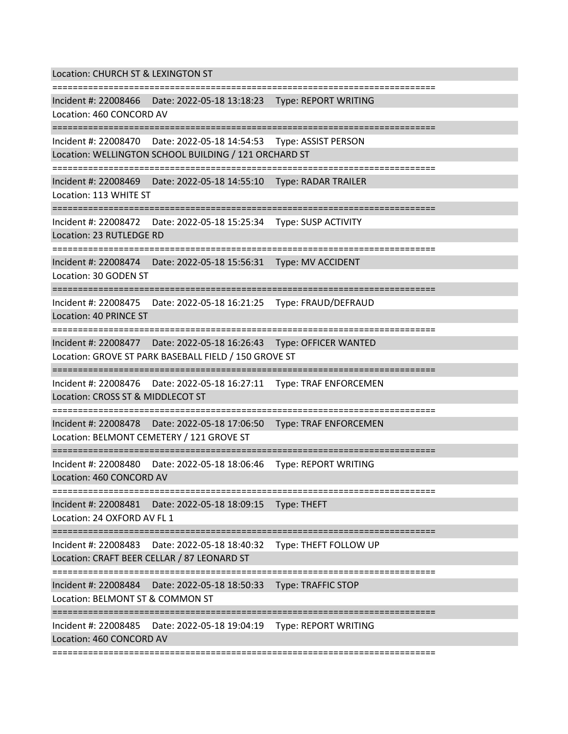Location: CHURCH ST & LEXINGTON ST

=========================================================================== Incident #: 22008466 Date: 2022-05-18 13:18:23 Type: REPORT WRITING Location: 460 CONCORD AV =========================================================================== Incident #: 22008470 Date: 2022-05-18 14:54:53 Type: ASSIST PERSON Location: WELLINGTON SCHOOL BUILDING / 121 ORCHARD ST =========================================================================== Incident #: 22008469 Date: 2022-05-18 14:55:10 Type: RADAR TRAILER Location: 113 WHITE ST =========================================================================== Incident #: 22008472 Date: 2022-05-18 15:25:34 Type: SUSP ACTIVITY Location: 23 RUTLEDGE RD =========================================================================== Incident #: 22008474 Date: 2022-05-18 15:56:31 Type: MV ACCIDENT Location: 30 GODEN ST =========================================================================== Incident #: 22008475 Date: 2022-05-18 16:21:25 Type: FRAUD/DEFRAUD Location: 40 PRINCE ST =========================================================================== Incident #: 22008477 Date: 2022-05-18 16:26:43 Type: OFFICER WANTED Location: GROVE ST PARK BASEBALL FIELD / 150 GROVE ST =========================================================================== Incident #: 22008476 Date: 2022-05-18 16:27:11 Type: TRAF ENFORCEMEN Location: CROSS ST & MIDDLECOT ST ============================== Incident #: 22008478 Date: 2022-05-18 17:06:50 Type: TRAF ENFORCEMEN Location: BELMONT CEMETERY / 121 GROVE ST =========================================================================== Incident #: 22008480 Date: 2022-05-18 18:06:46 Type: REPORT WRITING Location: 460 CONCORD AV =========================================================================== Incident #: 22008481 Date: 2022-05-18 18:09:15 Type: THEFT Location: 24 OXFORD AV FL 1 =========================================================================== Incident #: 22008483 Date: 2022-05-18 18:40:32 Type: THEFT FOLLOW UP Location: CRAFT BEER CELLAR / 87 LEONARD ST =========================================================================== Incident #: 22008484 Date: 2022-05-18 18:50:33 Type: TRAFFIC STOP Location: BELMONT ST & COMMON ST =========================================================================== Incident #: 22008485 Date: 2022-05-18 19:04:19 Type: REPORT WRITING Location: 460 CONCORD AV ===========================================================================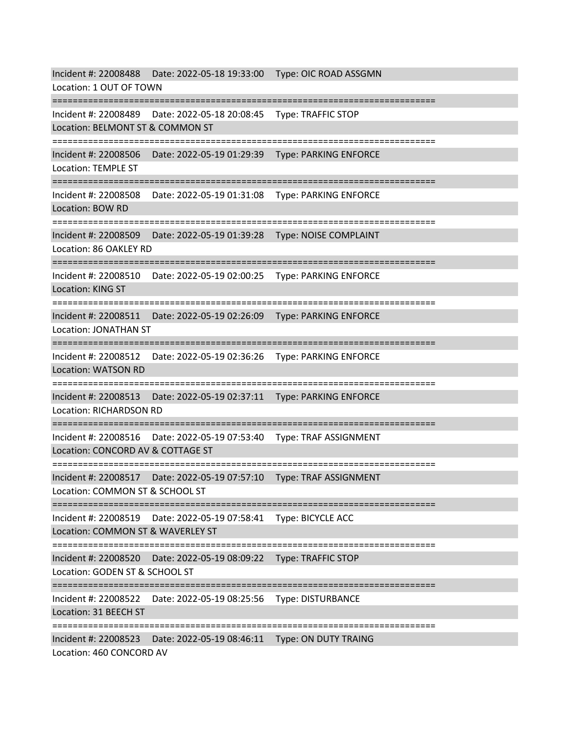Incident #: 22008488 Date: 2022-05-18 19:33:00 Type: OIC ROAD ASSGMN Location: 1 OUT OF TOWN =========================================================================== Incident #: 22008489 Date: 2022-05-18 20:08:45 Type: TRAFFIC STOP Location: BELMONT ST & COMMON ST =========================================================================== Incident #: 22008506 Date: 2022-05-19 01:29:39 Type: PARKING ENFORCE Location: TEMPLE ST =========================================================================== Incident #: 22008508 Date: 2022-05-19 01:31:08 Type: PARKING ENFORCE Location: BOW RD =========================================================================== Incident #: 22008509 Date: 2022-05-19 01:39:28 Type: NOISE COMPLAINT Location: 86 OAKLEY RD =========================================================================== Incident #: 22008510 Date: 2022-05-19 02:00:25 Type: PARKING ENFORCE Location: KING ST =========================================================================== Incident #: 22008511 Date: 2022-05-19 02:26:09 Type: PARKING ENFORCE Location: JONATHAN ST =========================================================================== Incident #: 22008512 Date: 2022-05-19 02:36:26 Type: PARKING ENFORCE Location: WATSON RD =========================================================================== Incident #: 22008513 Date: 2022-05-19 02:37:11 Type: PARKING ENFORCE Location: RICHARDSON RD =========================================================================== Incident #: 22008516 Date: 2022-05-19 07:53:40 Type: TRAF ASSIGNMENT Location: CONCORD AV & COTTAGE ST =========================================================================== Incident #: 22008517 Date: 2022-05-19 07:57:10 Type: TRAF ASSIGNMENT Location: COMMON ST & SCHOOL ST =========================================================================== Incident #: 22008519 Date: 2022-05-19 07:58:41 Type: BICYCLE ACC Location: COMMON ST & WAVERLEY ST =========================================================================== Incident #: 22008520 Date: 2022-05-19 08:09:22 Type: TRAFFIC STOP Location: GODEN ST & SCHOOL ST =========================================================================== Incident #: 22008522 Date: 2022-05-19 08:25:56 Type: DISTURBANCE Location: 31 BEECH ST =========================================================================== Incident #: 22008523 Date: 2022-05-19 08:46:11 Type: ON DUTY TRAING Location: 460 CONCORD AV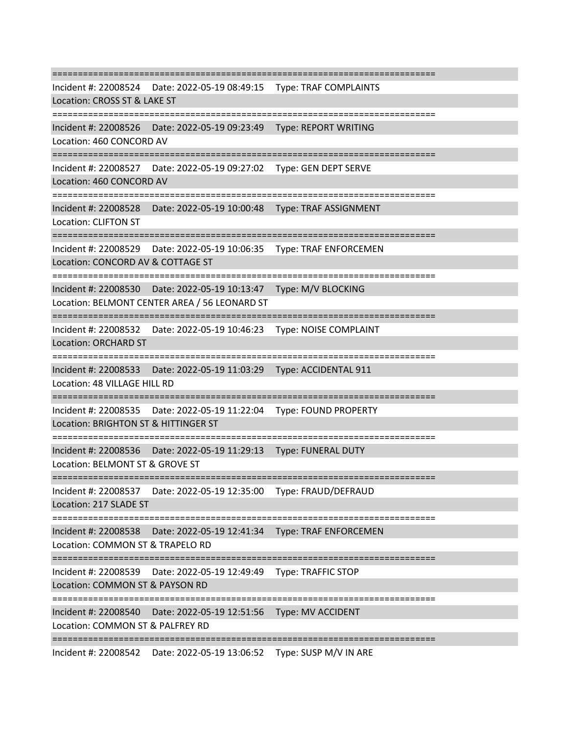=========================================================================== Incident #: 22008524 Date: 2022-05-19 08:49:15 Type: TRAF COMPLAINTS Location: CROSS ST & LAKE ST =========================================================================== Incident #: 22008526 Date: 2022-05-19 09:23:49 Type: REPORT WRITING Location: 460 CONCORD AV =========================================================================== Incident #: 22008527 Date: 2022-05-19 09:27:02 Type: GEN DEPT SERVE Location: 460 CONCORD AV =========================================================================== Incident #: 22008528 Date: 2022-05-19 10:00:48 Type: TRAF ASSIGNMENT Location: CLIFTON ST =========================================================================== Incident #: 22008529 Date: 2022-05-19 10:06:35 Type: TRAF ENFORCEMEN Location: CONCORD AV & COTTAGE ST =========================================================================== Incident #: 22008530 Date: 2022-05-19 10:13:47 Type: M/V BLOCKING Location: BELMONT CENTER AREA / 56 LEONARD ST =========================================================================== Incident #: 22008532 Date: 2022-05-19 10:46:23 Type: NOISE COMPLAINT Location: ORCHARD ST =========================================================================== Incident #: 22008533 Date: 2022-05-19 11:03:29 Type: ACCIDENTAL 911 Location: 48 VILLAGE HILL RD =========================================================================== Incident #: 22008535 Date: 2022-05-19 11:22:04 Type: FOUND PROPERTY Location: BRIGHTON ST & HITTINGER ST =========================================================================== Incident #: 22008536 Date: 2022-05-19 11:29:13 Type: FUNERAL DUTY Location: BELMONT ST & GROVE ST =========================================================================== Incident #: 22008537 Date: 2022-05-19 12:35:00 Type: FRAUD/DEFRAUD Location: 217 SLADE ST =========================================================================== Incident #: 22008538 Date: 2022-05-19 12:41:34 Type: TRAF ENFORCEMEN Location: COMMON ST & TRAPELO RD =========================================================================== Incident #: 22008539 Date: 2022-05-19 12:49:49 Type: TRAFFIC STOP Location: COMMON ST & PAYSON RD =========================================================================== Incident #: 22008540 Date: 2022-05-19 12:51:56 Type: MV ACCIDENT Location: COMMON ST & PALFREY RD ===========================================================================

Incident #: 22008542 Date: 2022-05-19 13:06:52 Type: SUSP M/V IN ARE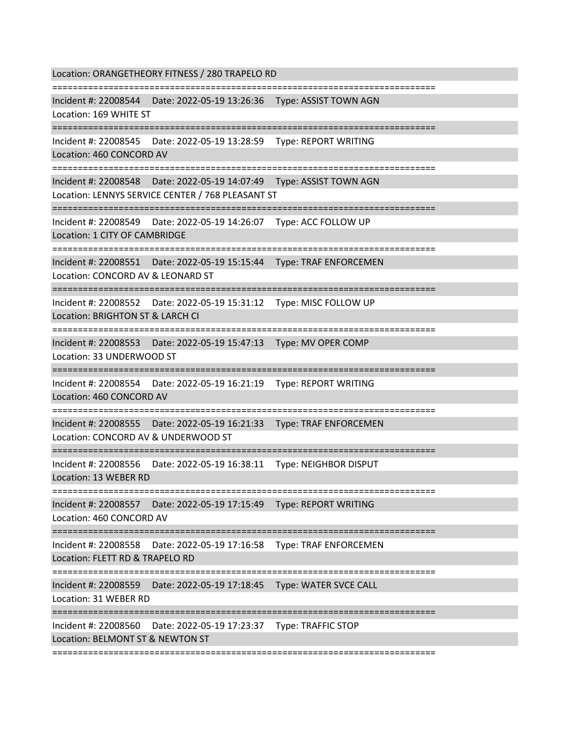Location: ORANGETHEORY FITNESS / 280 TRAPELO RD

===========================================================================

Incident #: 22008544 Date: 2022-05-19 13:26:36 Type: ASSIST TOWN AGN

Location: 169 WHITE ST

===========================================================================

Incident #: 22008545 Date: 2022-05-19 13:28:59 Type: REPORT WRITING

Location: 460 CONCORD AV

===========================================================================

Incident #: 22008548 Date: 2022-05-19 14:07:49 Type: ASSIST TOWN AGN

Location: LENNYS SERVICE CENTER / 768 PLEASANT ST

===========================================================================

Incident #: 22008549 Date: 2022-05-19 14:26:07 Type: ACC FOLLOW UP

Location: 1 CITY OF CAMBRIDGE

===========================================================================

Incident #: 22008551 Date: 2022-05-19 15:15:44 Type: TRAF ENFORCEMEN

Location: CONCORD AV & LEONARD ST

===========================================================================

Incident #: 22008552 Date: 2022-05-19 15:31:12 Type: MISC FOLLOW UP

Location: BRIGHTON ST & LARCH CI

===========================================================================

Incident #: 22008553 Date: 2022-05-19 15:47:13 Type: MV OPER COMP

Location: 33 UNDERWOOD ST

===========================================================================

Incident #: 22008554 Date: 2022-05-19 16:21:19 Type: REPORT WRITING

Location: 460 CONCORD AV

======================================

Incident #: 22008555 Date: 2022-05-19 16:21:33 Type: TRAF ENFORCEMEN

Location: CONCORD AV & UNDERWOOD ST

===========================================================================

Incident #: 22008556 Date: 2022-05-19 16:38:11 Type: NEIGHBOR DISPUT

Location: 13 WEBER RD

===========================================================================

Incident #: 22008557 Date: 2022-05-19 17:15:49 Type: REPORT WRITING

Location: 460 CONCORD AV

===========================================================================

Incident #: 22008558 Date: 2022-05-19 17:16:58 Type: TRAF ENFORCEMEN

Location: FLETT RD & TRAPELO RD

===========================================================================

Incident #: 22008559 Date: 2022-05-19 17:18:45 Type: WATER SVCE CALL

Location: 31 WEBER RD

===========================================================================

Incident #: 22008560 Date: 2022-05-19 17:23:37 Type: TRAFFIC STOP

Location: BELMONT ST & NEWTON ST

===========================================================================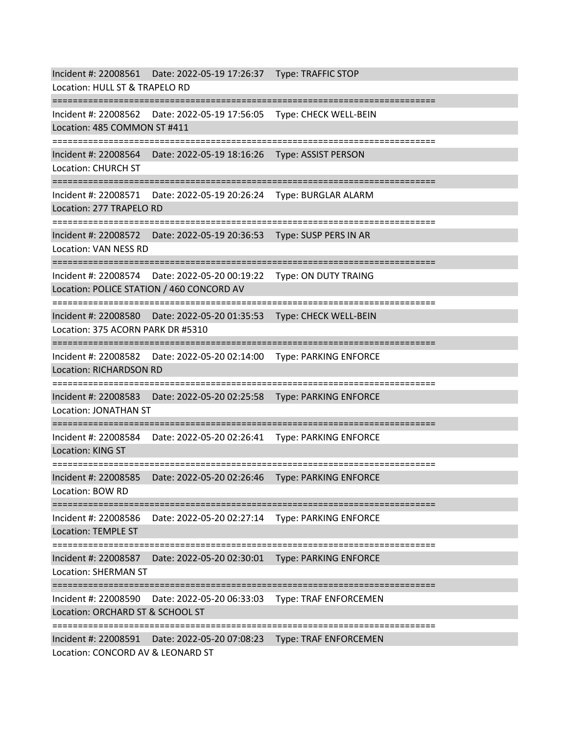Incident #: 22008561 Date: 2022-05-19 17:26:37 Type: TRAFFIC STOP Location: HULL ST & TRAPELO RD =========================================================================== Incident #: 22008562 Date: 2022-05-19 17:56:05 Type: CHECK WELL-BEIN Location: 485 COMMON ST #411 =========================================================================== Incident #: 22008564 Date: 2022-05-19 18:16:26 Type: ASSIST PERSON Location: CHURCH ST =========================================================================== Incident #: 22008571 Date: 2022-05-19 20:26:24 Type: BURGLAR ALARM Location: 277 TRAPELO RD =========================================================================== Incident #: 22008572 Date: 2022-05-19 20:36:53 Type: SUSP PERS IN AR Location: VAN NESS RD =========================================================================== Incident #: 22008574 Date: 2022-05-20 00:19:22 Type: ON DUTY TRAING Location: POLICE STATION / 460 CONCORD AV ================= Incident #: 22008580 Date: 2022-05-20 01:35:53 Type: CHECK WELL-BEIN Location: 375 ACORN PARK DR #5310 =========================================================================== Incident #: 22008582 Date: 2022-05-20 02:14:00 Type: PARKING ENFORCE Location: RICHARDSON RD =========================================================================== Incident #: 22008583 Date: 2022-05-20 02:25:58 Type: PARKING ENFORCE Location: JONATHAN ST =========================================================================== Incident #: 22008584 Date: 2022-05-20 02:26:41 Type: PARKING ENFORCE Location: KING ST =========================================================================== Incident #: 22008585 Date: 2022-05-20 02:26:46 Type: PARKING ENFORCE Location: BOW RD =========================================================================== Incident #: 22008586 Date: 2022-05-20 02:27:14 Type: PARKING ENFORCE Location: TEMPLE ST =========================================================================== Incident #: 22008587 Date: 2022-05-20 02:30:01 Type: PARKING ENFORCE Location: SHERMAN ST =========================================================================== Incident #: 22008590 Date: 2022-05-20 06:33:03 Type: TRAF ENFORCEMEN Location: ORCHARD ST & SCHOOL ST =========================================================================== Incident #: 22008591 Date: 2022-05-20 07:08:23 Type: TRAF ENFORCEMEN Location: CONCORD AV & LEONARD ST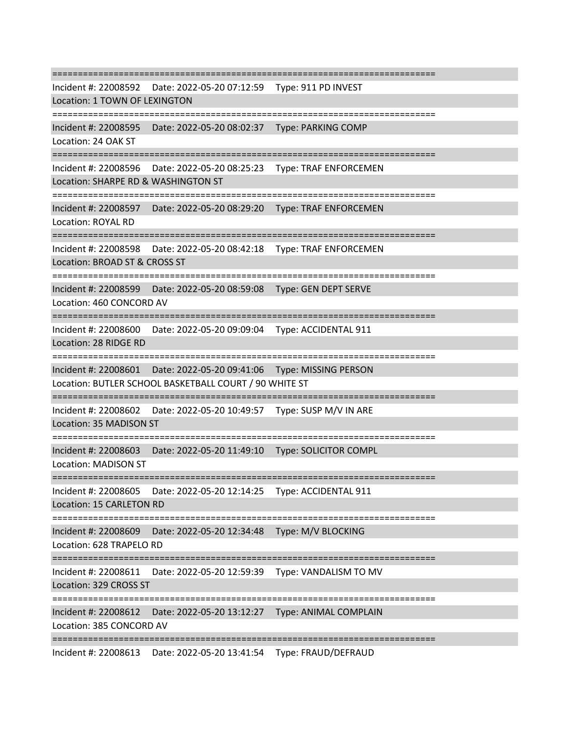=========================================================================== Incident #: 22008592 Date: 2022-05-20 07:12:59 Type: 911 PD INVEST Location: 1 TOWN OF LEXINGTON =========================================================================== Incident #: 22008595 Date: 2022-05-20 08:02:37 Type: PARKING COMP Location: 24 OAK ST =========================================================================== Incident #: 22008596 Date: 2022-05-20 08:25:23 Type: TRAF ENFORCEMEN Location: SHARPE RD & WASHINGTON ST =========================================================================== Incident #: 22008597 Date: 2022-05-20 08:29:20 Type: TRAF ENFORCEMEN Location: ROYAL RD =========================================================================== Incident #: 22008598 Date: 2022-05-20 08:42:18 Type: TRAF ENFORCEMEN Location: BROAD ST & CROSS ST =========================================================================== Incident #: 22008599 Date: 2022-05-20 08:59:08 Type: GEN DEPT SERVE Location: 460 CONCORD AV =========================================================================== Incident #: 22008600 Date: 2022-05-20 09:09:04 Type: ACCIDENTAL 911 Location: 28 RIDGE RD ============================= Incident #: 22008601 Date: 2022-05-20 09:41:06 Type: MISSING PERSON Location: BUTLER SCHOOL BASKETBALL COURT / 90 WHITE ST =========================================================================== Incident #: 22008602 Date: 2022-05-20 10:49:57 Type: SUSP M/V IN ARE Location: 35 MADISON ST =========================================================================== Incident #: 22008603 Date: 2022-05-20 11:49:10 Type: SOLICITOR COMPL Location: MADISON ST =========================================================================== Incident #: 22008605 Date: 2022-05-20 12:14:25 Type: ACCIDENTAL 911 Location: 15 CARLETON RD =========================================================================== Incident #: 22008609 Date: 2022-05-20 12:34:48 Type: M/V BLOCKING Location: 628 TRAPELO RD =========================================================================== Incident #: 22008611 Date: 2022-05-20 12:59:39 Type: VANDALISM TO MV Location: 329 CROSS ST =========================================================================== Incident #: 22008612 Date: 2022-05-20 13:12:27 Type: ANIMAL COMPLAIN Location: 385 CONCORD AV =========================================================================== Incident #: 22008613 Date: 2022-05-20 13:41:54 Type: FRAUD/DEFRAUD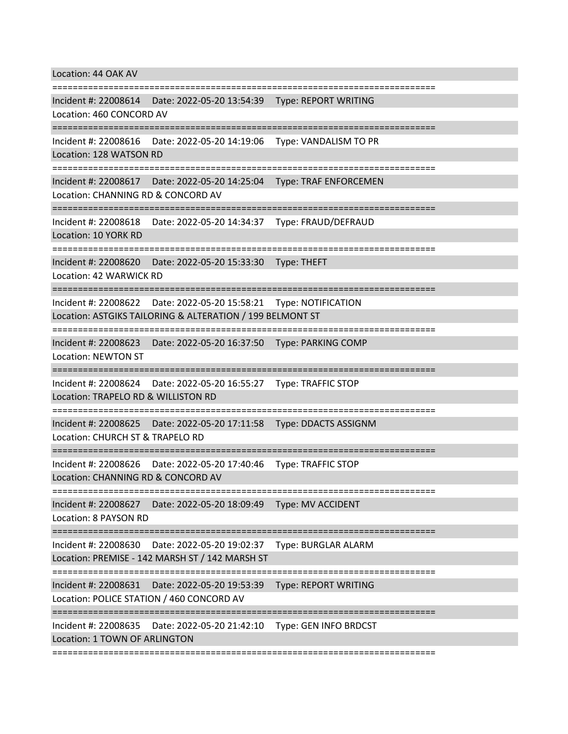Location: 44 OAK AV

=========================================================================== Incident #: 22008614 Date: 2022-05-20 13:54:39 Type: REPORT WRITING Location: 460 CONCORD AV =========================================================================== Incident #: 22008616 Date: 2022-05-20 14:19:06 Type: VANDALISM TO PR Location: 128 WATSON RD =========================================================================== Incident #: 22008617 Date: 2022-05-20 14:25:04 Type: TRAF ENFORCEMEN Location: CHANNING RD & CONCORD AV =========================================================================== Incident #: 22008618 Date: 2022-05-20 14:34:37 Type: FRAUD/DEFRAUD Location: 10 YORK RD =========================================================================== Incident #: 22008620 Date: 2022-05-20 15:33:30 Type: THEFT Location: 42 WARWICK RD =========================================================================== Incident #: 22008622 Date: 2022-05-20 15:58:21 Type: NOTIFICATION Location: ASTGIKS TAILORING & ALTERATION / 199 BELMONT ST =========================================================================== Incident #: 22008623 Date: 2022-05-20 16:37:50 Type: PARKING COMP Location: NEWTON ST =========================================================================== Incident #: 22008624 Date: 2022-05-20 16:55:27 Type: TRAFFIC STOP Location: TRAPELO RD & WILLISTON RD =========================================================================== Incident #: 22008625 Date: 2022-05-20 17:11:58 Type: DDACTS ASSIGNM Location: CHURCH ST & TRAPELO RD =========================================================================== Incident #: 22008626 Date: 2022-05-20 17:40:46 Type: TRAFFIC STOP Location: CHANNING RD & CONCORD AV =========================================================================== Incident #: 22008627 Date: 2022-05-20 18:09:49 Type: MV ACCIDENT Location: 8 PAYSON RD =========================================================================== Incident #: 22008630 Date: 2022-05-20 19:02:37 Type: BURGLAR ALARM Location: PREMISE - 142 MARSH ST / 142 MARSH ST =========================================================================== Incident #: 22008631 Date: 2022-05-20 19:53:39 Type: REPORT WRITING Location: POLICE STATION / 460 CONCORD AV =========================================================================== Incident #: 22008635 Date: 2022-05-20 21:42:10 Type: GEN INFO BRDCST Location: 1 TOWN OF ARLINGTON ===========================================================================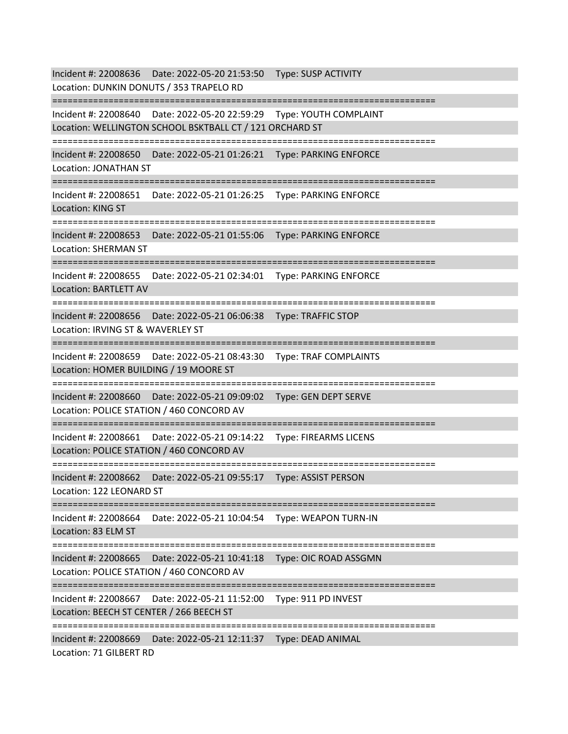Incident #: 22008636 Date: 2022-05-20 21:53:50 Type: SUSP ACTIVITY Location: DUNKIN DONUTS / 353 TRAPELO RD =========================================================================== Incident #: 22008640 Date: 2022-05-20 22:59:29 Type: YOUTH COMPLAINT Location: WELLINGTON SCHOOL BSKTBALL CT / 121 ORCHARD ST =========================================================================== Incident #: 22008650 Date: 2022-05-21 01:26:21 Type: PARKING ENFORCE Location: JONATHAN ST =========================================================================== Incident #: 22008651 Date: 2022-05-21 01:26:25 Type: PARKING ENFORCE Location: KING ST =========================================================================== Incident #: 22008653 Date: 2022-05-21 01:55:06 Type: PARKING ENFORCE Location: SHERMAN ST =========================================================================== Incident #: 22008655 Date: 2022-05-21 02:34:01 Type: PARKING ENFORCE Location: BARTLETT AV =========================================================================== Incident #: 22008656 Date: 2022-05-21 06:06:38 Type: TRAFFIC STOP Location: IRVING ST & WAVERLEY ST =========================================================================== Incident #: 22008659 Date: 2022-05-21 08:43:30 Type: TRAF COMPLAINTS Location: HOMER BUILDING / 19 MOORE ST =========================================================================== Incident #: 22008660 Date: 2022-05-21 09:09:02 Type: GEN DEPT SERVE Location: POLICE STATION / 460 CONCORD AV =========================================================================== Incident #: 22008661 Date: 2022-05-21 09:14:22 Type: FIREARMS LICENS Location: POLICE STATION / 460 CONCORD AV =========================================================================== Incident #: 22008662 Date: 2022-05-21 09:55:17 Type: ASSIST PERSON Location: 122 LEONARD ST =========================================================================== Incident #: 22008664 Date: 2022-05-21 10:04:54 Type: WEAPON TURN-IN Location: 83 ELM ST =========================================================================== Incident #: 22008665 Date: 2022-05-21 10:41:18 Type: OIC ROAD ASSGMN Location: POLICE STATION / 460 CONCORD AV =========================================================================== Incident #: 22008667 Date: 2022-05-21 11:52:00 Type: 911 PD INVEST Location: BEECH ST CENTER / 266 BEECH ST =========================================================================== Incident #: 22008669 Date: 2022-05-21 12:11:37 Type: DEAD ANIMAL Location: 71 GILBERT RD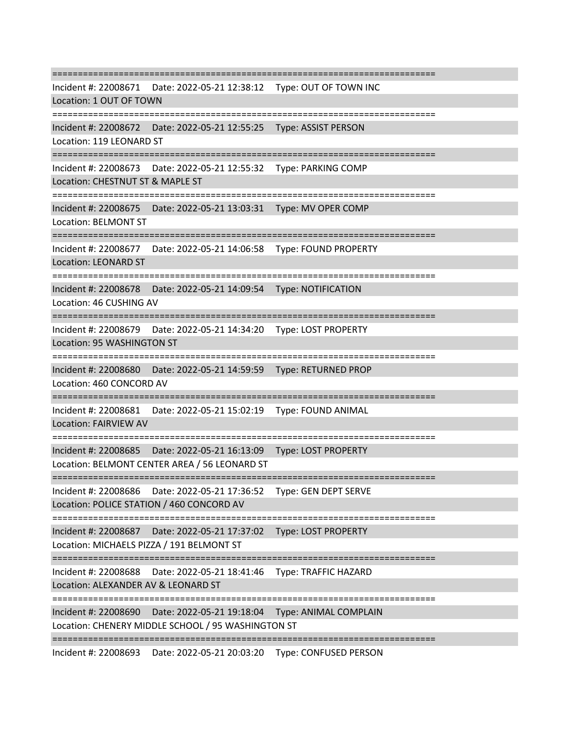=========================================================================== Incident #: 22008671 Date: 2022-05-21 12:38:12 Type: OUT OF TOWN INC Location: 1 OUT OF TOWN =========================================================================== Incident #: 22008672 Date: 2022-05-21 12:55:25 Type: ASSIST PERSON Location: 119 LEONARD ST =========================================================================== Incident #: 22008673 Date: 2022-05-21 12:55:32 Type: PARKING COMP Location: CHESTNUT ST & MAPLE ST =========================================================================== Incident #: 22008675 Date: 2022-05-21 13:03:31 Type: MV OPER COMP Location: BELMONT ST =========================================================================== Incident #: 22008677 Date: 2022-05-21 14:06:58 Type: FOUND PROPERTY Location: LEONARD ST =========================================================================== Incident #: 22008678 Date: 2022-05-21 14:09:54 Type: NOTIFICATION Location: 46 CUSHING AV =========================================================================== Incident #: 22008679 Date: 2022-05-21 14:34:20 Type: LOST PROPERTY Location: 95 WASHINGTON ST =========================================================================== Incident #: 22008680 Date: 2022-05-21 14:59:59 Type: RETURNED PROP Location: 460 CONCORD AV =========================================================================== Incident #: 22008681 Date: 2022-05-21 15:02:19 Type: FOUND ANIMAL Location: FAIRVIEW AV =========================================================================== Incident #: 22008685 Date: 2022-05-21 16:13:09 Type: LOST PROPERTY Location: BELMONT CENTER AREA / 56 LEONARD ST =========================================================================== Incident #: 22008686 Date: 2022-05-21 17:36:52 Type: GEN DEPT SERVE Location: POLICE STATION / 460 CONCORD AV =========================================================================== Incident #: 22008687 Date: 2022-05-21 17:37:02 Type: LOST PROPERTY Location: MICHAELS PIZZA / 191 BELMONT ST =========================================================================== Incident #: 22008688 Date: 2022-05-21 18:41:46 Type: TRAFFIC HAZARD Location: ALEXANDER AV & LEONARD ST =========================================================================== Incident #: 22008690 Date: 2022-05-21 19:18:04 Type: ANIMAL COMPLAIN Location: CHENERY MIDDLE SCHOOL / 95 WASHINGTON ST ===========================================================================

Incident #: 22008693 Date: 2022-05-21 20:03:20 Type: CONFUSED PERSON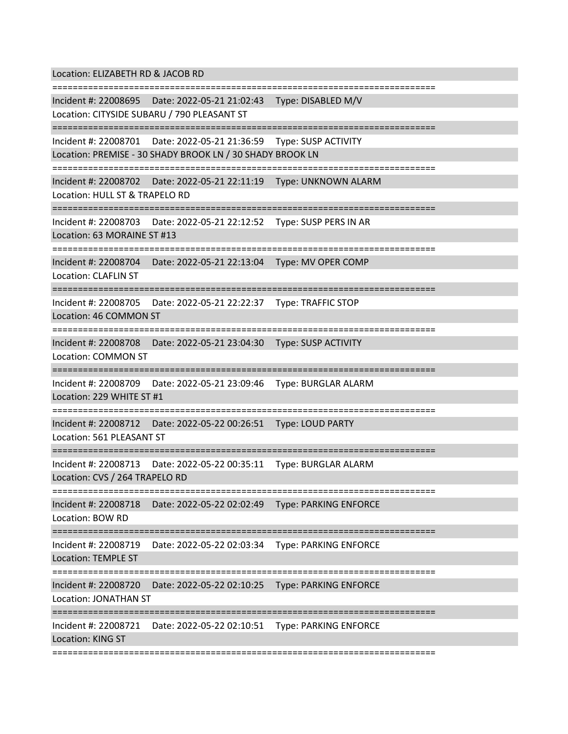Location: ELIZABETH RD & JACOB RD =========================================================================== Incident #: 22008695 Date: 2022-05-21 21:02:43 Type: DISABLED M/V Location: CITYSIDE SUBARU / 790 PLEASANT ST =========================================================================== Incident #: 22008701 Date: 2022-05-21 21:36:59 Type: SUSP ACTIVITY Location: PREMISE - 30 SHADY BROOK LN / 30 SHADY BROOK LN =========================================================================== Incident #: 22008702 Date: 2022-05-21 22:11:19 Type: UNKNOWN ALARM Location: HULL ST & TRAPELO RD =========================================================================== Incident #: 22008703 Date: 2022-05-21 22:12:52 Type: SUSP PERS IN AR Location: 63 MORAINE ST #13 =========================================================================== Incident #: 22008704 Date: 2022-05-21 22:13:04 Type: MV OPER COMP Location: CLAFLIN ST =========================================================================== Incident #: 22008705 Date: 2022-05-21 22:22:37 Type: TRAFFIC STOP Location: 46 COMMON ST =========================================================================== Incident #: 22008708 Date: 2022-05-21 23:04:30 Type: SUSP ACTIVITY Location: COMMON ST =========================================================================== Incident #: 22008709 Date: 2022-05-21 23:09:46 Type: BURGLAR ALARM Location: 229 WHITE ST #1 =========================================================================== Incident #: 22008712 Date: 2022-05-22 00:26:51 Type: LOUD PARTY Location: 561 PLEASANT ST =========================================================================== Incident #: 22008713 Date: 2022-05-22 00:35:11 Type: BURGLAR ALARM Location: CVS / 264 TRAPELO RD =========================================================================== Incident #: 22008718 Date: 2022-05-22 02:02:49 Type: PARKING ENFORCE Location: BOW RD =========================================================================== Incident #: 22008719 Date: 2022-05-22 02:03:34 Type: PARKING ENFORCE Location: TEMPLE ST =========================================================================== Incident #: 22008720 Date: 2022-05-22 02:10:25 Type: PARKING ENFORCE Location: JONATHAN ST =========================================================================== Incident #: 22008721 Date: 2022-05-22 02:10:51 Type: PARKING ENFORCE Location: KING ST ===========================================================================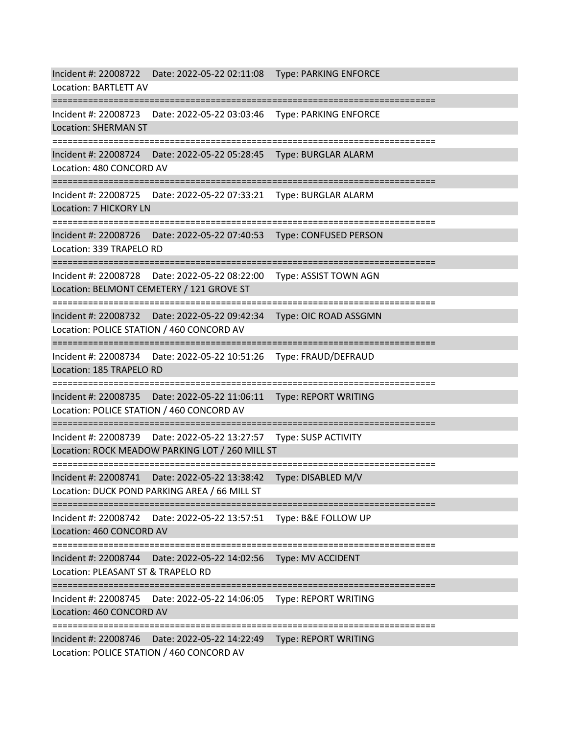Incident #: 22008722 Date: 2022-05-22 02:11:08 Type: PARKING ENFORCE Location: BARTLETT AV =========================================================================== Incident #: 22008723 Date: 2022-05-22 03:03:46 Type: PARKING ENFORCE Location: SHERMAN ST =========================================================================== Incident #: 22008724 Date: 2022-05-22 05:28:45 Type: BURGLAR ALARM Location: 480 CONCORD AV =========================================================================== Incident #: 22008725 Date: 2022-05-22 07:33:21 Type: BURGLAR ALARM Location: 7 HICKORY LN =========================================================================== Incident #: 22008726 Date: 2022-05-22 07:40:53 Type: CONFUSED PERSON Location: 339 TRAPELO RD =========================================================================== Incident #: 22008728 Date: 2022-05-22 08:22:00 Type: ASSIST TOWN AGN Location: BELMONT CEMETERY / 121 GROVE ST =========================================================================== Incident #: 22008732 Date: 2022-05-22 09:42:34 Type: OIC ROAD ASSGMN Location: POLICE STATION / 460 CONCORD AV =========================================================================== Incident #: 22008734 Date: 2022-05-22 10:51:26 Type: FRAUD/DEFRAUD Location: 185 TRAPELO RD =========================================================================== Incident #: 22008735 Date: 2022-05-22 11:06:11 Type: REPORT WRITING Location: POLICE STATION / 460 CONCORD AV =========================================================================== Incident #: 22008739 Date: 2022-05-22 13:27:57 Type: SUSP ACTIVITY Location: ROCK MEADOW PARKING LOT / 260 MILL ST =========================================================================== Incident #: 22008741 Date: 2022-05-22 13:38:42 Type: DISABLED M/V Location: DUCK POND PARKING AREA / 66 MILL ST =========================================================================== Incident #: 22008742 Date: 2022-05-22 13:57:51 Type: B&E FOLLOW UP Location: 460 CONCORD AV =========================================================================== Incident #: 22008744 Date: 2022-05-22 14:02:56 Type: MV ACCIDENT Location: PLEASANT ST & TRAPELO RD =========================================================================== Incident #: 22008745 Date: 2022-05-22 14:06:05 Type: REPORT WRITING Location: 460 CONCORD AV =========================================================================== Incident #: 22008746 Date: 2022-05-22 14:22:49 Type: REPORT WRITING Location: POLICE STATION / 460 CONCORD AV